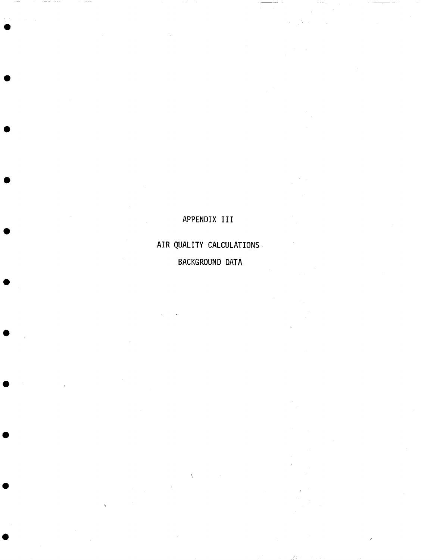# APPENDIX III

 $\pm 5\%$  .

AIR QUALITY CALCULATIONS BACKGROUND DATA

 $\bar{\chi}$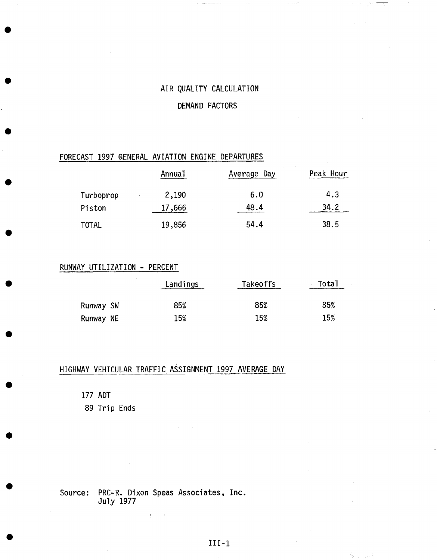### AIR QUALITY CALCULATION

#### DEMAND FACTORS

### FORECAST 1997 GENERAL AVIATION ENGINE DEPARTURES

|              | <b>Annual</b> | Average Day | Peak Hour |
|--------------|---------------|-------------|-----------|
| Turboprop    | 2,190         | 6.0         | 4.3       |
| Piston       | 17,666        | 48.4        | 34.2      |
| <b>TOTAL</b> | 19,856        | 54.4        | 38.5      |

### RUNWAY UTILIZATION - PERCENT

|           | Landings | <b>Takeoffs</b> | - Total |  |  |
|-----------|----------|-----------------|---------|--|--|
| Runway SW | 85%      | 85%             | 85%     |  |  |
| Runway NE | 15%      | 15%             | 15%     |  |  |

## HIGHWAY VEHICULAR TRAFFIC ASSIGNMENT 1997 AVERAGE DAY

177 ADT

89 Trip Ends

Source: PRC-R. Dixon Speas Associates, **Inc.**  July 1977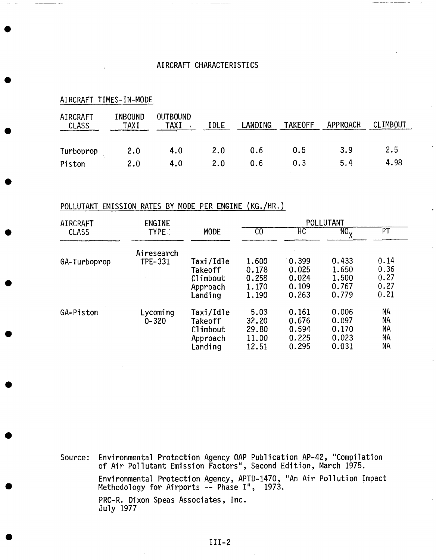#### AIRCRAFT CHARACTERISTICS

| AIRCRAFT<br>TIMES-IN-MODE |                 |                         |      |         |                |          |          |  |  |  |
|---------------------------|-----------------|-------------------------|------|---------|----------------|----------|----------|--|--|--|
| AIRCRAFT<br><b>CLASS</b>  | INBOUND<br>TAXI | <b>OUTBOUND</b><br>TAXI | IDLE | LANDING | <b>TAKEOFF</b> | APPROACH | CLIMBOUT |  |  |  |
| Turboprop                 | 2.0             | 4.0                     | 2.0  | 0.6     | 0.5            | 3.9      | 2.5      |  |  |  |
| Piston                    | 2.0             | 4.0                     | 2.0  | 0.6     | 0.3            | 5.4      | 4.98     |  |  |  |

## POLLUTANT EMISSION RATES BY MODE PER ENGINE (KG./HR- )

| AIRCRAFT     | <b>ENGINE</b>  |             | POLLUTANT |       |                              |                          |  |  |  |
|--------------|----------------|-------------|-----------|-------|------------------------------|--------------------------|--|--|--|
| <b>CLASS</b> | <b>TYPE:</b>   | <b>MODE</b> | CO        | HC    | $NO_{\rm v}$<br>$\mathbf{v}$ | $\overline{\mathsf{PT}}$ |  |  |  |
|              | Airesearch     |             |           |       |                              |                          |  |  |  |
| GA-Turboprop | <b>TPE-331</b> | Taxi/Idle   | 1.600     | 0.399 | 0.433                        | 0.14                     |  |  |  |
|              |                | Takeoff     | 0.178     | 0.025 | 1.650                        | 0.36                     |  |  |  |
|              |                | Climbout    | 0.258     | 0.024 | 1.500                        | 0.27                     |  |  |  |
|              |                | Approach    | 1.170     | 0.109 | 0.767                        | 0.27                     |  |  |  |
|              |                | Landing     | 1.190     | 0.263 | 0.779                        | 0.21                     |  |  |  |
| GA-Piston    | Lycoming       | Taxi/Idle   | 5.03      | 0.161 | 0.006                        | NA                       |  |  |  |
|              | $0 - 320$      | Takeoff     | 32.20     | 0.676 | 0.097                        | <b>NA</b>                |  |  |  |
|              |                | Climbout    | 29.80     | 0.594 | 0.170                        | <b>NA</b>                |  |  |  |
|              |                | Approach    | 11.00     | 0.225 | 0.023                        | ΝA                       |  |  |  |
|              |                | Landing     | 12.51     | 0.295 | 0.031                        | ΝA                       |  |  |  |

Source: Environmental Protection Agency OAP of Air Pollutant Emission Factors", Second Edition, Environmental Protection Agency, APTD-1470, "An Air Methodology for Airports -- Phase I", 1973. PRC-R. Dixon Speas Associates, Inc. July 1977 Publication AP-42, "Compilation March 1975. Pollution Impact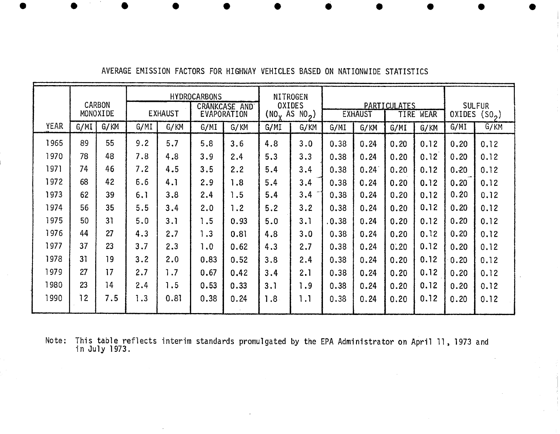|             |      | CARBON<br>MONOXIDE | <b>HYDROCARBONS</b><br>CRANKCASE AND<br><b>EXHAUST</b><br>EVAPORATION |      | <b>NITROGEN</b><br><b>OXIDES</b><br>(NO <sub>v</sub> AS NO <sub>2</sub> ) |      | <b>PARTICULATES</b><br><b>EXHAUST</b><br>TIRE WEAR |      |       |      | <b>SULFUR</b><br>OXIDES $(SO_2)$ |      |                   |      |
|-------------|------|--------------------|-----------------------------------------------------------------------|------|---------------------------------------------------------------------------|------|----------------------------------------------------|------|-------|------|----------------------------------|------|-------------------|------|
| <b>YEAR</b> | G/MI | G/KM               | G/MI                                                                  | G/KM | G/MI                                                                      | G/KM | G/MI                                               | G/KM | G/MI  | G/KM | G/MI                             | G/KM | G/MI              | G/KM |
| 1965        | 89   | 55                 | 9.2                                                                   | 5.7  | 5.8                                                                       | 3.6  | 4.8                                                | 3.0  | 0.38  | 0.24 | 0.20                             | 0.12 | 0, 20             | 0.12 |
| 1970        | 78   | 48                 | 7.8                                                                   | 4.8  | 3.9                                                                       | 2.4  | 5.3                                                | 3.3  | 0.38  | 0.24 | 0.20                             | 0.12 | 0.20              | 0.12 |
| 1971        | 74   | 46                 | 7.2                                                                   | 4.5  | 3.5                                                                       | 2.2  | 5.4                                                | 3.4  | 0.38  | 0.24 | 0.20                             | 0.12 | 0.20              | 0.12 |
| 1972        | 68   | 42                 | 6.6                                                                   | 4.1  | 2.9                                                                       | 1.8  | 5.4                                                | 3.4  | 0.38  | 0.24 | 0.20                             | 0.12 | 0.20              | 0.12 |
| 1973        | 62   | 39                 | 6.1                                                                   | 3.8  | 2.4                                                                       | 1.5  | 5.4                                                | 3.4  | 0.38  | 0.24 | 0.20                             | 0.12 | $0.\overline{2}0$ | 0.12 |
| 1974        | 56   | 35                 | 5.5                                                                   | 3.4  | 2.0                                                                       | 1.2  | 5.2                                                | 3.2  | 0.38  | 0.24 | 0.20                             | 0.12 | 0, 20             | 0.12 |
| 1975        | 50   | 31                 | 5.0                                                                   | 3.1  | 1.5                                                                       | 0.93 | 5.0                                                | 3.1  | .0.38 | 0.24 | 0.20                             | 0.12 | 0.20              | 0.12 |
| 1976        | 44   | 27                 | 4.3                                                                   | 2.7  | 1.3                                                                       | 0.81 | 4.8                                                | 3.0  | 0.38  | 0.24 | 0.20                             | 0.12 | 0.20              | 0.12 |
| 1977        | 37   | 23                 | 3.7                                                                   | 2.3  | 1.0                                                                       | 0.62 | 4.3                                                | 2,7  | 0.38  | 0.24 | 0.20                             | 0.12 | 0.20              | 0.12 |
| 1978        | 31   | 19                 | 3.2                                                                   | 2.0  | 0.83                                                                      | 0.52 | 3.8                                                | 2.4  | 0.38  | 0.24 | 0.20                             | 0.12 | 0.20              | 0.12 |
| 1979        | 27   | 17                 | 2.7                                                                   | 1.7  | 0.67                                                                      | 0.42 | 3.4                                                | 2.1  | 0.38  | 0.24 | 0.20                             | 0,12 | 0.20              | 0.12 |
| 1980        | 23   | 14                 | 2.4                                                                   | 1.5  | 0.53                                                                      | 0.33 | 3.1                                                | 1.9  | 0.38  | 0.24 | 0.20                             | 0.12 | 0.20              | 0.12 |
| 1990        | 12   | 7.5                | 1.3                                                                   | 0.81 | 0.38                                                                      | 0.24 | 1.8                                                | 1.1  | 0.38  | 0.24 | 0.20                             | 0.12 | 0.20              | 0.12 |

AVERAGE EMISSION FACTORS FOR HIGHWAY VEHICLES BASED ON NATIONWIDE STATISTICS

Note: This table reflects interim standards promulgated by the EPA Administrator on April II, 1973 and in July 1973,